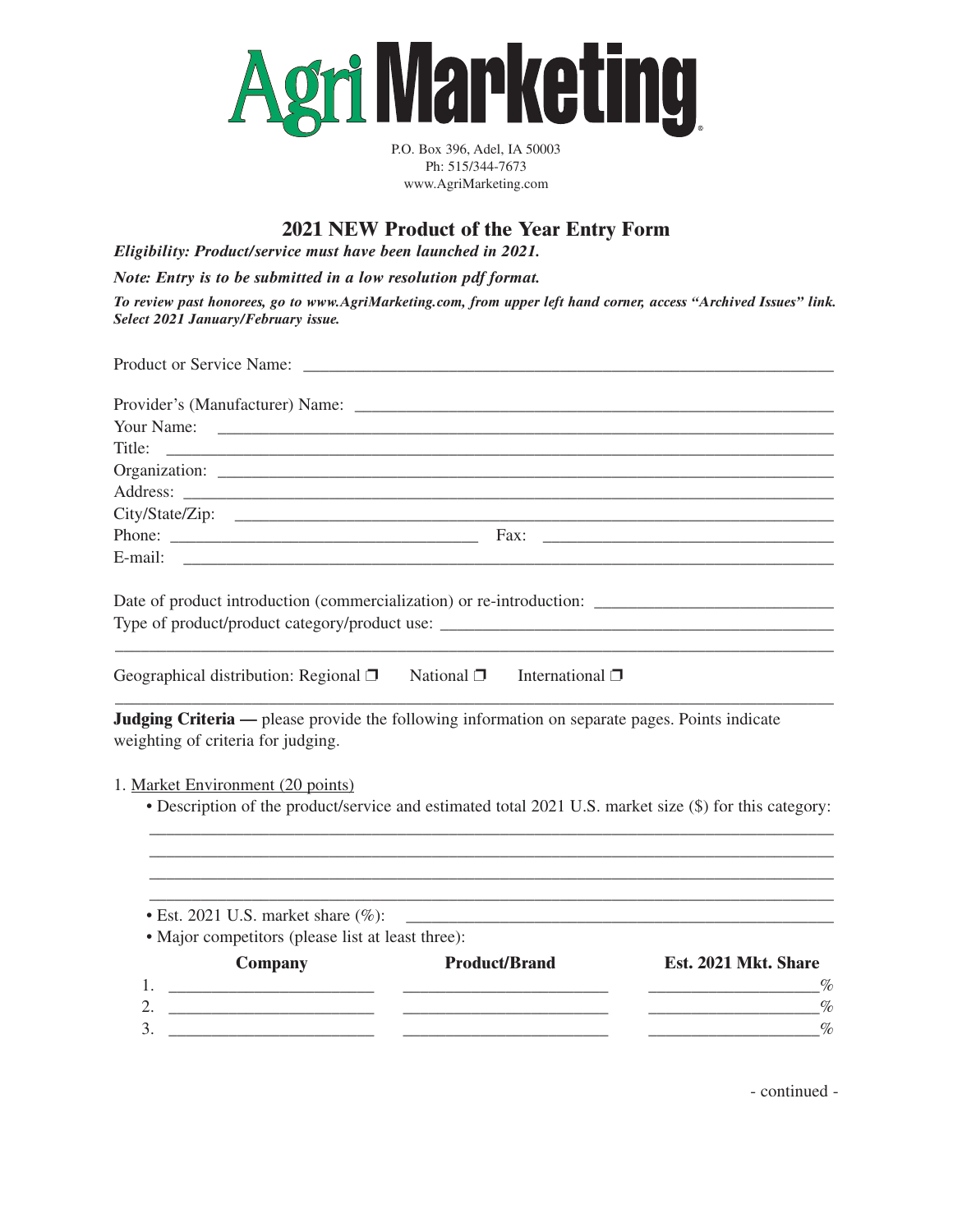

P.O. Box 396, Adel, IA 50003 Ph: 515/344-7673 www.AgriMarketing.com

## **2021 NEW Product of the Year Entry Form**

*Eligibility: Product/service must have been launched in 2021.*

*Note: Entry is to be submitted in a low resolution pdf format.*

*To review past honorees, go to www.AgriMarketing.com, from upper left hand corner, access "Archived Issues" link. Select 2021 January/February issue.*

| Title:                                                                                                                                                                                                                                                                                                                 |                                                                                                                      |                                                                                                                      |
|------------------------------------------------------------------------------------------------------------------------------------------------------------------------------------------------------------------------------------------------------------------------------------------------------------------------|----------------------------------------------------------------------------------------------------------------------|----------------------------------------------------------------------------------------------------------------------|
|                                                                                                                                                                                                                                                                                                                        |                                                                                                                      |                                                                                                                      |
|                                                                                                                                                                                                                                                                                                                        |                                                                                                                      |                                                                                                                      |
|                                                                                                                                                                                                                                                                                                                        |                                                                                                                      |                                                                                                                      |
|                                                                                                                                                                                                                                                                                                                        |                                                                                                                      |                                                                                                                      |
|                                                                                                                                                                                                                                                                                                                        |                                                                                                                      |                                                                                                                      |
| Date of product introduction (commercialization) or re-introduction:                                                                                                                                                                                                                                                   |                                                                                                                      |                                                                                                                      |
| Geographical distribution: Regional $\Box$ Mational $\Box$ International $\Box$                                                                                                                                                                                                                                        |                                                                                                                      |                                                                                                                      |
| <b>Judging Criteria</b> — please provide the following information on separate pages. Points indicate<br>weighting of criteria for judging.<br>1. Market Environment (20 points)<br>• Description of the product/service and estimated total 2021 U.S. market size (\$) for this category:                             |                                                                                                                      |                                                                                                                      |
| $\bullet$ Est. 2021 U.S. market share $(\%):$<br>• Major competitors (please list at least three):                                                                                                                                                                                                                     |                                                                                                                      | <u> 2002 - Jan James James Jan James James James James James James James James James James James James James Jam</u> |
| <b>Company</b>                                                                                                                                                                                                                                                                                                         | <b>Product/Brand</b>                                                                                                 | Est. 2021 Mkt. Share                                                                                                 |
|                                                                                                                                                                                                                                                                                                                        |                                                                                                                      | $\overline{\phantom{a}}$                                                                                             |
| 2. $\frac{1}{2}$ $\frac{1}{2}$ $\frac{1}{2}$ $\frac{1}{2}$ $\frac{1}{2}$ $\frac{1}{2}$ $\frac{1}{2}$ $\frac{1}{2}$ $\frac{1}{2}$ $\frac{1}{2}$ $\frac{1}{2}$ $\frac{1}{2}$ $\frac{1}{2}$ $\frac{1}{2}$ $\frac{1}{2}$ $\frac{1}{2}$ $\frac{1}{2}$ $\frac{1}{2}$ $\frac{1}{2}$ $\frac{1}{2}$ $\frac{1}{2}$ $\frac{1}{2}$ |                                                                                                                      | $\%$<br><u> 2000 - Andrea Andrewski, amerikansk politik (</u>                                                        |
| 3.                                                                                                                                                                                                                                                                                                                     | <u> 1989 - Jan James James Barbara, martxa a shekara 1980 - Andrew Santa Barbara, mashrida a shekara 1980 - Andr</u> | $\%$                                                                                                                 |
|                                                                                                                                                                                                                                                                                                                        |                                                                                                                      |                                                                                                                      |

- continued -